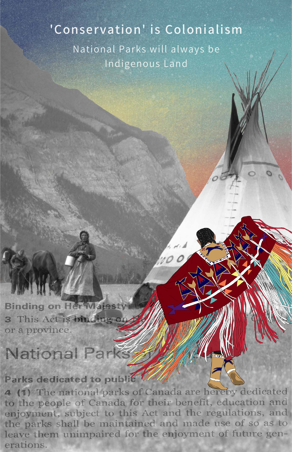## 'Conservation' is Colonialism National Parks will always be Indigenous Land

**Binding on Her Majest** This Act is binding or 3 or a province

# National Parks

Parks dedicated to public 7

4 (1) The national parks of Canada are hereby dedicated to the people of Canada for their benefit, education and enjoyment, subject to this Act and the regulations, and the parks shall be maintained and made use of so as to leave them unimpaired for the enjoyment of future generations.

DXUL